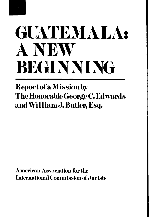

## **GUATEMALA ANEW BEGINNING** • •

## **Report of a Missionby The Honorable George C. Edwards**<br>and William J. Butler, Esq.

**American Association for the International Commission of Jurists**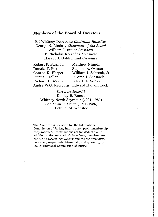#### **Members of the Board of Directors**

Eli Whitney Debevoise *Chairman Emeritus* George N. Lindsay *Chairman of the Board* William J. Butler *President* P. Nicholas Kourides *Treasurer* Harvey J. Goldschmid *Secretary*

| Robert P. Bass, Jr. | <b>Matthew Nimetz</b>                 |
|---------------------|---------------------------------------|
| Donald T. Fox       | Stephen A. Oxman                      |
| Conrad K. Harper    | William J. Schrenk, Jr.               |
| Peter S. Heller     | Jerome J. Shestack                    |
| Richard H. Moore    | Peter O.A. Solbert                    |
|                     | Andre W.G. Newburg Edward Hallam Tuck |

*Directors Emeriti:* Dudley B. Bonsai Whitney North Seymour (1901-1983) Benjamin R. Shute (1911-1986) Bethuel M. Webster

**The American Association for the International Commission of Jurists, Inc., is a non-profit membership corporation. All contributions are tax-deductible. In addition to the Association's** *Newsletter,* **members are entitled to receive** *The Review* **and the** *ICJ Newsletter,* **published, respectively, bi-annually and quarterly, by the International Commission of Jurists.**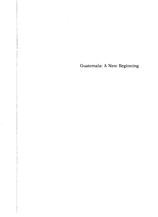Guatemala: A New Beginning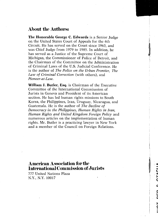#### **About the Authors:**

**The Honorable George C. Edwards** is a Senior Judge on the United States Court of Appeals for the 6th Circuit. He has served on the Court since 1963, and was Chief Judge from 1979 to 1985. In addition, he has served as a Justice of the Supreme Court of Michigan, the Commissioner of Police of Detroit, and the Chairman of the Committee on the Administration of Criminal Laws of the U.S. Judicial Conference. He is the author of *The Police on the Urban Frontier, The Law of Criminal Correction* (with others), and *Pioneer-a t-La w.*

**William J. Butler, Esq.** is Chairman of the Executive Committee of the International Commisssion of Jurists in Geneva and President of its American section. He has led human rights missions to South Korea, the Philippines, Iran, Uruguay, Nicaragua, and Guatemala. He is the author of *The Decline of Democracy in the Philippines, Human Rights in Iran, Human Rights and United Kingdom Foreign Policy* and numerous articles on the implementation of human rights. Mr. Butler is a practicing lawyer in New York and a member of the Council on Foreign Relations.

### **American Association for the International Commission of Jurists**

777 United Nations Plaza N.Y., N.Y. 10017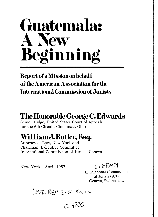# **Guatemala: A New Beginning**

#### **Report of a Mission on behalf of the American Association for the International Commission of Jurists**

#### **The Honorable George C. Edwards**

Senior Judge, United States Court of Appeals for the 6th Circuit, Cincinnati, Ohio

## **William J. Butler, Esq.**<br>Attorney at Law, New York and

Chairman, Executive Committee,<br>International Commission of Jurists, Geneva

New York April 1987  $L \rightarrow B \rightarrow R \rightarrow T$ 

International Commission of Jurists (ICJ) Geneva, Switzerland

JUST REP-2-GT\*GUA

*c . m i*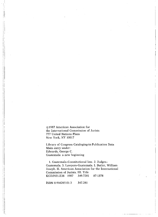**©1987 American Association for the International Commission of Jurists 777 United Nations Plaza New York, NY 10017**

**Library of Congress Cataloging-in-Publication Data Main entry under: Edwards, George C. Guatemala: a new beginning**

**1. Guatemala-Constitutional law. 2. Judges-Guatemala. 3. Lawyers-Guatemala. I. Butler, William Joseph. II. American Association for the International Commission of Jurists. III. Title KGD2921.E38 1987 349.7281 87-1378**

**ISBN 0-916265-01-3 347.281**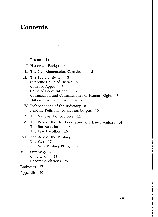#### **Contents**

#### Preface ix

I. Historical Background 1 II. The New Guatemalan Constitution 3 III. The Judicial System 5 Supreme Court of Justice 5 Court of Appeals 5 Court of Constitutionality 6 Commission and Commissioner of Human Rights 7 Habeas Corpus and Amparo 7 IV. Independence of the Judiciary 8 Pending Petitions for Habeas Corpus 10 V. The National Police Force 11 VI. The Role of the Bar Association and Law Faculties The Bar Association 14 The Law Faculties 16 VII. The Role of the Military 17 The Past 17 The New Military Pledge 19 VIII. Summary 22 Conclusions 23 Recommendations 25 Endnotes 27 Appendix 29

vii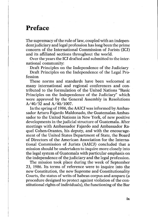#### **Preface**

The supremacy of the rule of law, coupled with an independent judiciary and legal profession has long been the prime concern of the International Commission of Jurists (ICJ) and its affiliated sections throughout the world.

Over the years the ICJ drafted and submitted to the inter national community:

Draft Principles on the Independence of the Judiciary

Draft Principles on the Independence of the Legal Pro-<br>fession<br>These norms and standards have been welcomed at

many international and regional conferences and contributed to the formulation of the United Nations "Basic Principles on the Independence of the Judiciary" which were approved by the General Assembly in Resolutions  $A/40/32$  and  $A/40/1007$ .

In the spring of 1986, the AAICJ was informed by Ambassador Arturo Fajardo Maldonado, the Guatemalan Ambasdevelopments in the judicial structure of Guatemala. After meetings with Ambassador Fajardo and Ambassador Raquel Cohen-Orantes, his deputy, and with the encouragement of the United States Department of State, the Board tional Commission of Jurists (AAICJ) concluded that a mission should be undertaken to inquire more closely into the legal system of Guatemala with particular emphasis on the independence of the judiciary and the legal profession.

The mission took place during the week of September 23, 1986. Its terms of reference were to inquire into the new Constitution, the new Supreme and Constitutionality<br>Courts, the status of writs of habeas corpus and amparo (a<br>procedure designed to protect against violation of the con-<br>stitutional rights of individuals), the functio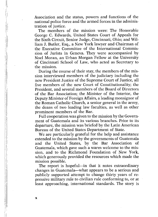Association and the status, powers and functions of the national police force and the armed forces in the administration of justice. The members of the mission were: The Honorable

George C. Edwards, United States Court of Appeals for the Sixth Circuit, Senior Judge, Cincinnati, Ohio; and Wil liam J. Butler, Esq., a New York lawyer and Chairman of the Executive Committee of the International Commission of Jurists in Geneva. They were accompanied by Noel Moran, an Urban Morgan Fellow at the University of Cincinnati School of Law, who acted as Secretary to

the mission.<br>
During the course of their stay, the members of the mission interviewed members of the judiciary including the<br>
new President Justice of the Supreme Court of Justice, all<br>
five members of the new Court of Con President, and several members of the Board of Directors of the Bar Association; the Minister of the Interior, the Deputy Minister of Foreign Affairs, a leading monsignor of the Roman Catholic Church, a senior general in the army, the deans of two leading law faculties, as well as other prominent members of the Bar.<br>Full cooperation was given to the mission by the Govern-

ment of Guatemala and its various branches. Prior to its departure, the mission was briefed by the Latin American Bureau of the United States Department of State. We are particularly grateful for the help and assistance

extended to the mission by the governments of Guatemala<br>and the United States, by the Bar Association of<br>Guatemala, which gave such a warm welcome to the mis-<br>sion, and to the Richmond Foundation of New York,<br>which generou

mission possible.<br>The report is hopeful—in that it notes extraordinary<br>changes in Guatemala—what appears to be a serious and publicly supported attempt to change thirty years of re-<br>pressive military rule to civilian rule conforming to, or at<br>least approaching, international standards. The story is

 $\mathbf x$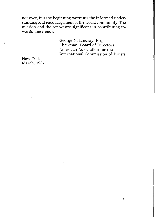not over, but the beginning warrants the informed understanding and encouragement of the world community. The mission and the report are significant in contributing towards these ends.

George N. Lindsay, Esq. Chairman, Board of Directors American Association for the International Commission of Jurists New York March, 1987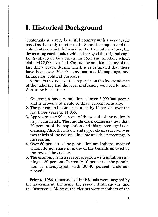#### **I. Historical Background**

Guatemala is a very beautiful country with a very tragic past. One has only to refer to the Spanish conquest and the colonization which followed in the sixteenth century; the devastating earthquakes which destroyed the original capital, Santiago de Guatemala, in 1651 and another, which claimed 22,000 lives in 1976; and the political history of the last thirty years, during which it is estimated that there have been over 30,000 assassinations, kidnappings, and killings for political purposes.

Although the focus of this report is on the independence of the judiciary and the legal profession, we need to mention some basic facts:

- 1. Guatemala has a population of over 8,000,000 people and is growing at a rate of three percent annually.
- 2. The per capita income has fallen by 14 percent over the last three years to \$1,055.
- 3. Approximately 90 percent of the wealth of the nation is in private hands. The middle class comprises less than 20 percent of the population and this percentage is decreasing. Also, the middle and upper classes receive over two-thirds of the national income and this percentage is increasing. 4. Over 60 percent of the population are Indians, most of
- whom do not share in many of the benefits enjoyed by
- the rest of the society.<br>
5. The economy is in a severe recession with inflation running at 60 percent. Currently 10 percent of the popula-<br>
tion is unemployed, with 30-40 percent underem-<br>
ployed.<sup>1</sup>

Prior to 1986, thousands of individuals were targeted by the government, the army, the private death squads, and the insurgents. Many of the victims were members of the

**1**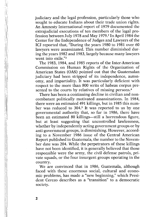judiciary and the legal profession, particularly those who sought to educate Indians about their trade union rights. extrajudicial executions of ten members of the legal profession between July 1978 and May 1979.2 In April 1984 the Center for the Independence of Judges and Lawyers of the ICJ reported that, "During the years 1980 to 1981 over 60 lawyers were assassinated. This number diminished during the years 1982 and 1983, largely because many lawyers went into exile."<sup>3</sup>

The 1983, 1984, and 1985 reports of the Inter-American Commission on Human Rights of the Organization of American States (OAS) pointed out that the Guatemalan judiciary had been stripped of its independence, autonomy, and impartiality. It was particularly deficient with respect to the more than 800 writs of habeas corpus presented to the courts by relatives of missing persons.<sup>4</sup>

There has been a continuing decline in civilian and non- combatant politically motivated assassinations. In 1984, there were an estimated 491 killings, but in 1985 this num ber was reduced to 304.5 It was reported to us by one governmental authority that, so far in 1986, there have been an estimated 80 killings—still a horrendous figure, but at least suggesting that uncontrolled lawlessness, whether by independently acting government groups or by anti-government groups, is diminishing. However, according to a November 1986 issue of the Central American Report published in Guatemala, the number to the November date was 204. While the perpetrators of these killings have not been identified, it is generally believed that those responsible were the army, the civil defense patrols, private squads, or the four insurgent groups operating in the

country. We are convinced that in 1986, Guatemala, although faced with these enormous social, cultural and economic problems, has made a "new beginning," which President Cerezo describes as a "transition" to a democratic society.

**2**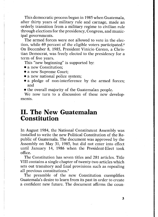This democratic process began in 1985 when Guatemala, after thirty years of military rule and carnage, made an through elections for the presidency, Congress, and municipal governments.

The armed forces were not allowed to vote in the election, while 69 percent of the eligible voters participated.<sup>6</sup> On December 8, 1985, President Vinicio Cerezo, a Christian Democrat, was freely elected to the presidency for a term of five years.

This "new beginning" is supported by:

- a new Constitution;<br>• a new Supreme Court:
- 
- 
- a new national police system;<br>• a pledge of non-interference by the armed forces; and
- the overall majority of the Guatemalan people.

We now turn to a discussion of these new developments.

## **II. The New Guatemalan Constitution**

In August 1984, the National Constitutent Assembly was installed to write the new Political Constitution of the Republic of Guatemala. The document was approved by the Assembly on May 31, 1985, but did not enter into effec until January 14, 1986 when the President-Elect took office.

VIII contains a single chapter of twenty-two articles which sets out transitory and final provisions such as repealing all previous constitutions.<sup>7</sup><br>The preamble of the new Constitution exemplifies

Guatemala's desire to learn from its past in order to create<br>a confident new future. The document affirms the coun-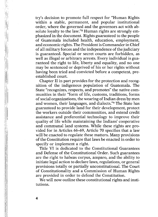try's decision to promote full respect for "Human Rights within a stable, permanent, and popular institutional order, where the governed and the governors act with absolute loyalty to the law."<sup>8</sup> Human rights are strongly emphasized in the document. Rights guaranteed to the people of Guatemala included health, education, employment, and economic rights. The President is Commander in Chief of all military forces and the independence of the judiciary is guaranteed. Special or secret courts are forbidden, as well as illegal or arbitrary arrests. Every individual is guaranteed the right to life, liberty and equality, and no one may be sentenced or deprived of his or her rights without having been tried and convicted before a competent, pre-<br>established court.<br>Chapter II in part provides for the protection and recog-

nition of the indigenous population of Guatemala. The State "recognizes, respects, and promotes" the native communities in their "form of life, customs, traditions, forms of social organizations, the wearing of Indian dress by men and women, their languages, and dialects."<sup>9</sup> The State has guaranteed to provide land for their development, protect the workers outside their communities, and extend credit assistance and preferential technology to improve their quality of life while maintaining the Indians' cooperative and communal land systems. While these rights are provided for in Articles 66–69, Article 70 specifies that a law will be enacted to regulate these matters. Many provisions of the Constitution require that laws be enacted

Title VI is dedicated to the Constitutional Guarantees<br>and Defense of the Constitutional Order. Such guarantees<br>are the right to habeas corpus, amparo, and the ability to<br>initiate legal action to declare laws, regulations, provisions totally or partially unconstitutional. The Court of Constitutionality and a Commission of Human Rights are provided in order to defend the Constitution.

We will now outline these constitutional rights and institutions.

**4**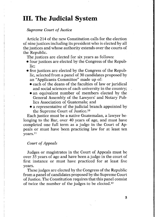#### **III. The Judicial System**

#### *Supreme Court of Justice*

Article 214 of the new Constitution calls for the election of nine justices including its president who is elected by all the justices and whose authority extends over the courts of

The justices are elected for six years as follows:

- four justices are elected by the Congress of the Repub-
- lic;<br>
 five justices are elected by the Congress of the Repub-<br>
lic, selected from a panel of 30 candidates proposed by an "Applicants Committee" made up of:
	- each of the deans of the faculties of law or juridical and social sciences of each university in the country;
	- an equivalent number of members elected by the General Assembly of the Lawyers' and Notary Pub lics Association of Guatemala; and
- a representative of the judicial branch appointed by<br>the Supreme Court of Justice.<sup>10</sup><br>Each justice must be a native Guatemalan, a lawyer be-

longing to the Bar, over 40 years of age, and must have completed one full term as a judge in the Court of Appeals or must have been practicing law for at least ten years.11

#### *Court of Appeals*

Judges or magistrates in the Court of Appeals must be over 35 years of age and have been a judge in the court of first instance or must have practiced for at least five

years. These judges are elected by the Congress of the Republic from a panel of candidates proposed by the Supreme Court of Justice. The Constitution requires that this panel consist of twice the number of the judges to be elected.12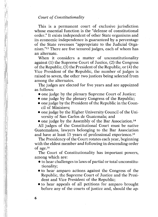#### *Court of Constitutionality*

This is a permanent court of exclusive jurisdiction<br>whose essential function is the "defense of constitutional<br>order." It exists independent of other State organisms and<br>its economic independence is guaranteed by a percent of the State revenues "appropriate to the Judicial Organism."13 There are five tenured judges, each of whom has an alternate.<br>When it considers a matter of unconstitutionality

against (1) the Supreme Court of Justice, (2) the Congress of the Republic. (3) the President of the Republic, or (4) the Vice President of the Republic, the number of judges is raised to seven, the other two justices being selected from

The judges are elected for five years and are appointed as follows:

- one judge by the plenary Supreme Court of Justice;<br>• one judge by the plenary Congress of the Republic;
- 
- one judge by the President of the Republic in the Council of Ministers;
- one judge by the Higher University Council of the University of San Carlos de Guatemala; and<br>• one judge by the Assembly of the Bar Association.<sup>14</sup>
- 

All judges of the Constitutional Court must be native Guatemalans, lawyers belonging to the Bar Association and have at least 15 years of professional experience.<sup>15</sup><br>The Presidency of the Court rotates each year, beginning

with the eldest member and following in descending order of  $age.^{16}$ 

The Court of Constitutionality has important powers, among which are:

- $\bullet$  to hear challenges to laws of partial or total unconstitutionality; • to hear amparo actions against the Congress of the
- Republic, the Supreme Court of Justice and the Presi-
- to hear appeals of all petitions for amparo brought before any of the courts of justice and, should the ap-

**6**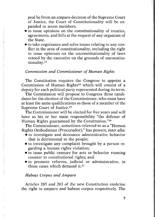peal be from an amparo decision of the Supreme Court of Justice, the Court of Constitutionality will be ex panded to seven members.

- to issue opinions on the constitutionality of treaties, quest of any organism of<br>the State.<br>• to take cognizance and solve issues relating to any con-
- flict in the area of constitutionality, including the right to issue opinions on the unconstitutionality of laws vetoed by the executive on the grounds of unconstitu-<br>tionality.<sup>17</sup>

#### *Commission and Commissioner of Human Rights*

The Constitution requires the Congress to appoint a Commission of Human Rights<sup>18</sup> which will consist of a deputy for each political party represented during its term.

The Commission will propose to Congress three candidates for the election of the Commissioner, who must have at least the same qualifications as those of a member of the Supreme Court of Justice.<sup>19</sup>

The Commissioner will be elected for five years and will have as his or her main responsibility "the defense of Human Rights guaranteed by the Constitution."<sup>20</sup> The Commissioner, sometimes referred to as a "Human"

Rights Ombudsman (Procurador)," has powers, *inter alia:*<br>
• to investigate and denounce administrative behavior

- 
- that is detrimental to the people;<br>
 to investigate any complaint brought by a person regarding a human rights violation;
- to issue public censure for acts or behavior running counter to constitutional rights; and
- to promote reforms, judicial or administrative, in those cases which demand it.<sup>21</sup>

#### *Habeas Corpus and Amparo*

Articles 265 and 263 of the new Constitution enshrine the right to amparo and habeas corpus respectively. The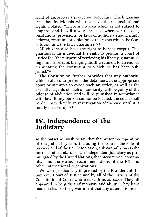right of amparo is a protective procedure which guarantees that individuals will not have their constitutional rights violated. "There is no area which is not subject to amparo, and it will always proceed whenever the acts, resolutions, provisions, or laws of authority should imply a threat, restraint, or violation of the rights which the Constitution and the laws guarantee."<sup>22</sup><br>All citizens also have the right to habeas corpus. This

guarantees an individual the right to petition a court of justice for "the purpose of retrieving his liberty, guarantee ing him his release, bringing his ill-treatment to an end, or terminating the constraint to which he has been sub-<br>iected."<sup>23</sup>

The Constitution further provides that any authority which refuses to present the detainee at the appropriate court or attempts to evade such an order, as well as the executive agents of such an authority, will be guilty of the offense of abduction and will be punished in accordance with law. If any person cannot be located, the court shall "order immediately an investigation of the case until it is totally cleared up."24

## **IV. Independence of the Judiciary**

At the outset we wish to say that the present composition of the judicial system, including the courts, the role of lawyers and of the Bar Association, substantially meets the mulgated by the United Nations, the international community, and the various recommendations of the ICJ and other international organizations.<br>We were particularly impressed by the President of the

Supreme Court of Justice and by all of the justices of the Constitutional Court who met with us *en banc*. They all appeared to be judges of integrity and ability. They have made it clear to the government that any attempt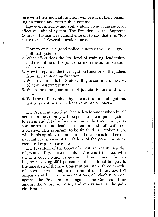fere with their judicial function will result in their resigning en masse and with public comment.

However, integrity and ability alone do not guarantee an effective judicial system. The President of the Supreme Court of Justice was candid enough to say that it is "too early to tell." Several questions arose:

- 1. How to ensure a good police system as well as a good
- 2. What effect does the low level of training, leadership, and discipline of the police have on the administration of iustice?
- 3. How to separate the investigation function of the judges from the sentencing function?
- 4. What resources is the State willing to commit to the cost of administering justice?
- 5. Where are the guarantees of judicial tenure and sala-
- 6. Will the military abide by its constitutional obligations not to arrest or try civilians in military courts?

The President also described a development whereby all arrests in the country will be put into a computer system to retain and detail information as to the time, place, reason for arrest, and details of detention and notification of a relative. This program, to be finished in October 1986, will, in his opinion, do much to aid the courts in all criminal matters in view of the failure of the police in many cases to keep proper records.

The President of the Court of Constitutionality, a judge of great ability, convened his entire court to meet with us. This court, which is guaranteed independent financing by receiving .001 percent of the national budget, is the guardian of the new Constitution. In the three months amparo and habeas corpus petitions, of which two were against the President, one against the Congress, four against the Supreme Court, and others against the judicial branch.

**9**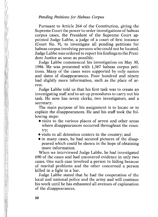Pursuant to Article 264 of the Constitution, giving the Supreme Court the power to order investigations of habeas corpus cases, the President of the Supreme Court appointed Judge Labbe, a judge of a court of first instance (Court No. 9), to investigate all pending petitions for habeas corpus involving persons who could not be located. Judge Labbe was ordered to report his findings to the President Justice as soon as possible.<br>Judge Labbe commenced his investigation on May 30.

1986. He was presented with 1,367 habeas corpus petitions. Many of the cases were supported by only names and dates of disappearances. Four hundred and ninety had slightly more information, such as the place of arrest.

Judge Labbe told us that his first task was to create an investigating staff and to set up procedures to carry out his task. He now has seven clerks, two investigators, and a secretary.

The main purpose of his assignment is to locate or to explain the disappearances. He and his staff took the following steps:

- visits to the various places of arrest and other areas where disappearances occurred throughout the country; • visits to all detention centers in the country; and • in many cases, he had secured pictures of the disap-
- 
- peared which could be shown in the hope of obtaining<br>more information.<br>When we interviewed Judge Labbe, he had investigated

690 of the cases and had uncovered evidence in only two<br>cases. One such case involved a person in hiding because<br>of marital problems and the other concerned a person<br>killed in a fight in a bar.<br>Judge Labbe stated that he h

local and national police and the army and will continue his work until he has exhausted all avenues of explanation of the disappearances.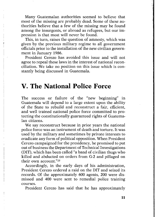Many Guatemalan authorities seemed to believe that most of the missing are probably dead. Some of these authorities believe that a few of the missing may be found among the insurgents, or abroad as refugees, but our impression is that most will never be found.<br>This, in turn, raises the question of amnesty, which was

given by the previous military regime to all government officials prior to the installation of the new civilian government in January 1986.<br>President Cerezo has avoided this issue and will not

agree to repeal these laws in the interest of national reconciliation. We take no position on this issue which is constantly being discussed in Guatemala.

#### **V. The National Police Force**

The success or failure of the "new beginning" in Guatemala will depend to a large extent upon the ability of the State to rebuild and reconstruct a fair, efficient, and well trained national police force committed to protecting the constitutionally guaranteed rights of Guatemalan citizens. We say reconstruct because in prior years the national

police force was an instrument of death and torture. It was used by the military and sometimes by private interests to eradicate any form of political opposition. When President Cerezo campaigned for the presidency, he promised to put out of business the Department of Technical Investigations (DIT), which has been called "a band of civilian thugs who killed and abducted on orders from G-2 and pillaged on their own account."<sup>25</sup>

Accordingly, in the early days of his administration, President Cerezo ordered a raid on the DIT and seized its records. Of the approximately 600 agents, 200 were dismissed and 400 were sent to remedial police training courses.

President Cerezo has said that he has approximately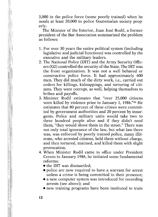3,000 in the police force (some poorly trained) when he needs at least 20,000 to police Guatemalan society properly.

The Minister of the Interior, Juan José Rodil, a former president of the Bar Association summarized the problem as follows:

- 1. For over 30 years the entire political system (including legislative and judicial functions) was controlled by the
- executive and the military leaders.<br>
2. The National Police (DIT) and the Army Security Officers (G2) controlled the security of the State. The DIT was the front organization. It was not a well behaved or constructive police force. It had approximately 600 men. They did much of the dirty work, i.e., carried out orders for killings, kidnappings, and torturing of citizens. They were corrupt, as well, helping themselves to bribes and pavoffs.
- 3. Minister Rodil estimates that "over 25,000 citizens were killed by violence prior to January 1, 1986."<sup>26</sup> He estimates that 80 percent of these crimes were committed by government authorities and 20 percent by insurgents. Police and military units would take two to three hundred people alive and if they didn't need them, "they would shoot them in the street." There was not only total ignorance of the law, but what law there was, was enforced by poorly trained police, many illiterate, who arrested citizens, held them without charge, and then tortured, maimed, and killed them with slight provocation. 4. When Minister Rodil came to office under President
- Cerezo in January 1986, he initiated some fundamental reforms: • the DIT was dismantled; • police are now required to have a warrant for arrest
	-
	- unless a crime is being committed in their presence;<br>• a new computer system was introduced for recording
	- arrests (see above); and  $\bullet$  new training programs have been instituted to train
	-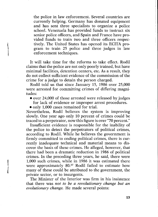the police in law enforcement. Several countries are currently helping. Germany has donated equipment and has sent three specialists to organize a police school. Venezuela has provided funds to instruct six senior police officers, and Spain and France have provided funds to train two and three officers respectively. The United States has opened its ECITA program to train 25 police and three judges in law enforcement techniques.

It will take time for the reforms to take effect. Rodil claims that the police are not only poorly trained, but have minimal facilities, detention centers, etc. As a result, they do not collect sufficient evidence of the commission of the crime for a judge to detain the person charged.<br>Rodil told us that since January 15, 1986 over 25,000

were arrested for committing crimes of differing magni-

 $\bullet$  over 24,000 of those arrested were released by judges for lack of evidence or improper arrest procedures.<br>• only 1.000 cases remained for trial.

Nevertheless, Rodil believes the system is improving slowly. One year ago only 10 percent of crimes could be traced to a perpetrator, now this figure is over "70 percent." Insufficient evidence is responsible for the inability of

the police to detect the perpetrators of political crimes, according to Rodil. While he believes the government is firmly committed to ending political crimes, there is currently inadequate technical and material means to discover the basis of these crimes. He alleged, however, that there had been a dramatic reduction in 1986 of political crimes. In the preceding three years, he said, there were 1,000 such crimes, while in 1986 it was estimated there were approximately 80.<sup>27</sup> Rodil failed to estimate how many of these could be attributed to the government, the

private sector, or to insurgents. The Minister of the Interior was firm in his insistence that there was *not to be a revolutionary change but an evolutionary change.* He made several points:

**13**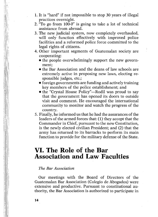- 1. It is "hard" if not impossible to stop 30 years of illegal practices overnight.
- 2. "To go from 100-0" is going to take a lot of technical assistance from abroad.
- 3. The new judicial system, now completely overhauled, will only function effectively with improved police facilities and a reformed police force committed to the legal rights of citizens.
- 4. Other important segments of Guatemalan society are cooperating: • the people overwhelmingly support the new govern-
	-
	- ment;<br>
	 the Bar Association and the deans of law schools are extremely active in proposing new laws, electing re-
	- sponsible judges, etc.;<br>
	 foreign governments are funding and actively training<br>
	key members of the police establishment; and
	- the "Crystal House Policy"—Rodil was proud to say that the government has opened its doors to outside visit and comment. He encouraged the international community to monitor and watch the progress of the country.
- 5. Finally, he informed us that he had the assurances of the leaders of the armed forces that: (1) they accept that the Commander in Chief, pursuant to the new Constitution, is the newly elected civilian President; and (2) that the army has returned to its barracks to perform its main function to provide for the military defense of the State.

## **VI. The Role of the Bar Association and Law Faculties**

#### *The Bar Association*

Our meetings with the Board of Directors of the Guatemalan Bar Association (Colegio de Abogados) were extensive and productive. Pursuant to constitutional authority, the Bar Association is authorized to participate in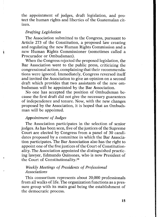the appointment of judges, draft legislation, and protect the human rights and liberties of the Guatemalan citizen.

#### *Drafting Legislation*

The Association submitted to the Congress, pursuant to Article 273 of the Constitution, a proposed law creating and regulating the new Human Rights Commission and a new Human Rights Commissioner (sometimes called a Procurador or Ombudsman).<br>When the Congress rejected the proposed legislation, the

Bar Association went to the public press, criticizing the congressional action, complaining that their recommendations were ignored. Immediately, Congress reversed itself and invited the Association to give an opinion on a second draft which provides that two assistants of the new om-<br>budsman will be appointed by the Bar Association.

No one has accepted the position of Ombudsman be cause the first draft did not give the necessary guarantees of independence and tenure. Now, with the new changes proposed by the Association, it is hoped that an Ombudsman will be appointed.

#### *Appointment of Judges*

The Association participates in the selection of senior judges. As has been seen, five of the justices of the Supreme Court are elected by Congress from a panel of 30 candi dates proposed by a committee in which the Bar Association participates. The Bar Association also has the right to ality. The Association appointed the distinguished practicing lawyer, Edmundo Quinones, who is now President of the Court of Constitutionality.28

#### *Weekly Meetings of Presidents of Professional Associations*

This consortium represents about 20,000 professionals from all walks of life. The organization functions as a pressure group with its main goal being the establishment of the democratic process.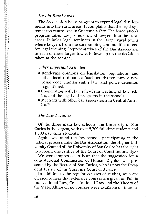#### *Law in Rural Areas*

The Association has a program to expand legal developments into the rural areas. It complains that the legal system is too centralized in Guatemala City. The Association's program takes law professors and lawyers into the rural areas. It holds legal seminars in the larger rural towns where lawyers from the surrounding communities attend for legal training. Representatives of the Bar Association in each of these larger towns follows up on the decisions taken at the seminar.

#### *Other Important Activities*

- Rendering opinions on legislation, regulations, and other local ordinances (such as divorce laws, a new penal code, hum an rights law, and police detention regulations).
- Cooperation with law schools in teaching of law, eth ics, and the legal aid programs in the schools.
- Meetings with other bar associations in Central America.29

#### *The Law Faculties*

Of the three main law schools, the University of San Carlos is the largest, with over 5,700 full-time students and 1,500 part-time students.<br>Again, we found the law schools participating in the

judicial process. Like the Bar Association, the Higher University Council of the University of San Carlos has the right to appoint one Justice of the Court of Constitutionality.30 We were impressed to hear that the suggestion for a

constitutional Commission of Human Rights<sup>31</sup> was presented by the Rector of San Carlos, who is now the President Justice of the Supreme Court of Justice.

In addition to the regular courses of studies, we were pleased to hear that extensive courses are given on Public International Law, Constitutional Law and the Theory of the State. Although no courses were available on interna

5月1日的"保存情况"的成功的所有的的法律的内存的问题。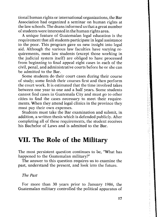tional human rights or international organizations, the Bar Association had organized a seminar on human rights at the law schools. The deans informed us that a great number of students were interested in the human rights area. A unique feature of Guatemalan legal education is the

requirement that all students participate in legal assistance aid. Although the various law faculties have varying requirements, most law students (except those working in the iudicial system itself) are obliged to have processed from beginning to final appeal eight cases in each of the civil, penal, and administrative courts before he or she can

Some students do their court cases during their course of study; some finish their courses first and then perform the court work. It is estimated that the time involved takes between one year to one and a half years. Some students cannot find cases in Guatemala City and must go to other cities to find the cases necessary to meet their requirements. When they attend legal clinics in the province they must pay their own expenses.

Students must take the Bar examination and submit, in addition, a written thesis which is defended publicly. After completing all of these requirements, the student receives his Bachelor of Laws and is admitted to the Bar.

#### **VII. The Role of the Military**

The most persistent question continues to be, "What has happened to the Guatemalan military?"

The answer to this question requires us to examine the past, understand the present, and look into the future.

*The Past*

For more than 30 years prior to January 1986, the Guatemalan military controlled the political apparatus of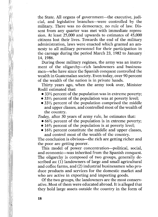the State. All organs of government—the executive, judicial, and legislative branches—were controlled by the military. There was no democracy, no rule of law. Dissent from any quarter was met with immediate repression. At least 25,000 and upwards to estimates of 45,000 citizens lost their lives. Towards the end of the military administration, laws were enacted which granted an amnesty to all military personnel for their participation in the carnage during the period March 23, 1982 to January

14, 1986.<br> During those military regimes, the army was an instrument of the oligarchy—rich landowners and business-<br> men—who have since the Spanish conquest controlled the wealth in Guatemalan society. Even today, over 90 percent of the wealth of the nation is in private hands.

Thirty years ago, when the army took over, Minister Rodil estimated that:

- $\bullet$  33 $\frac{1}{3}$  percent of the population was in extreme poverty;
- 33<sup>1/3</sup> percent of the population was at poverty level;
- $\bullet$  33<sup>1</sup>/<sub>3</sub> percent of the population comprised the middle and upper classes, and controlled most of the wealth of the country. *Today,* after 30 years of army rule, he estimates that:

- $\bullet$  66<sup>2</sup>/<sub>3</sub> percent of the population is in extreme poverty;
- 16<sup>2</sup>/<sub>3</sub> percent of the population is at poverty level;<br>• 16<sup>2</sup>/<sub>3</sub> percent constitute the middle and upper classes,
- 

and control most of the wealth of the country. The conclusion is obvious—the rich are getting richer and the poor are getting poorer.<br>This model of power concentration—political, social,

and economic—was inherited from the Spanish conquest. The oligarchy is composed of two groups, generally described as: (1) landowners of large and small agricultural and coffee farms, and (2) industrial businessmen who produce products and services for the domestic market and who are active in exporting and importing goods.

Of the two groups, the landowners are the most conservative. Most of them were educated abroad. It is alleged that they hold large assets outside the country in the form of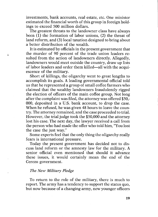investments, bank accounts, real estate, etc. One minister estimated the financial worth of this group in foreign holdings to exceed 500 million dollars.<br>The greatest threats to the landowner class have always

been (1) the formation of labor unions, (2) the threat of land reform, and (3) local taxation designed to bring about a better distribution of the wealth.

It is estimated by officials in the present government that the murder of 90 percent of the trade union leaders resulted from the action of landowners directly. Allegedly, landowners would meet outside the country, draw up lists of labor leaders and order them killed—all with the acquiescence of the military.<br>Short of killings, the oligarchy went to great lengths to

accomplish its goals. A leading governmental official told us that he represented a group of small coffee farmers who claimed that the wealthy landowners fraudulently rigged the election of officers of the main coffee group. Not long after the complaint was filed, the attorney was offered \$50,- 000, deposited in a U.S. bank account, to drop the case. When he refused, he was given 48 hours to leave the country. The attorney remained, and the case proceeded to trial. However, the trial judge took the \$50,000 and the attorney lost his case. The next day, the lawyer received a call from the person who had made the offer who told him, "You lost the case the just way."

Some experts feel that the only thing the oligarchy really fears is international pressure.

Today the present government has decided not to dis-<br>cuss land reform or the amnesty law for the military. A senior official even mentioned that should it advance these issues, it would certainly mean the end of the Cerezo government.

#### *The New Military Pledge*

Å,

To return to the role of the military, there is much to report. The army has a tendency to support the status quo, but now because of a changing army, new younger officers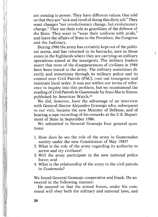are coming to power. They have different values. One told us that they are "sick and tired of doing this dirty job." They want changes "not revolutionary change, but evolutionary change." They see their role as guardians of the defense of the State. They want to "wear their uniform with pride," and leave the affairs of State to the President, the Congress

During 1986 the army has certainly kept out of the political arena, and has returned to its barracks, save in those zones in the highlands where they are carrying on military operations aimed at the insurgents. The military leaders assert that none of the disappearances of civilians in 1986 have been traced to the army. The military sometimes directly and sometimes through its military police and its control over Civil Patrols (PAC), root out insurgents and<br>maintain local order. It was not within our terms of refer-<br>ence to inquire into this problem, but we recommend the reading of *Civil Patrols in Guatemala* by Jean-Marie Simon

We did, however, have the advantage of an interview with General Hector Alejandro Gramajo who, subsequent to our visit, became the new Minister of Defense, and of hearing a tape recording of his remarks at the U.S. Depart-<br>ment of State in September 1986.<br>We submitted to General Gramajo four general ques-

tions:

- 1. How does he see the role of the army in Guatemalan society under the new Constitution of May 1985?
- 2. What is the role of the army regarding its authority to arrest and try civilians?
- 3. Will the army participate in the new national police force; and 4. What is the relationship of the army to the civil patrols
- in Guatemala?

We found General Gramajo cooperative and frank. He an-

swered in the following manner:<br>He assured us that the armed forces, under his com-<br>mand will obey both the military and national laws, and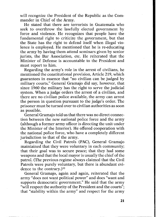will recognize the President of the Republic as the Com-<br>mander in Chief of the Army.

He stated that there are terrorists in Guatemala who seek to overthrow the lawfully elected government by force and violence. He recognizes that people have the fundamental right to criticize the government, but that the State has the right to defend itself when illegal vio lence is employed. He mentioned that he is re-educating the army by having them attend seminars given by senior jurists, the Bar Association, etc. He reiterated that the Minister of Defense is accountable to the President and

Regarding the army's role in the arrest of civilians, he mentioned the constitutional provision, Article 219, which guarantees in essence that "no civilian can be judged by military courts." General Gramajo did say, however, that since 1960 the military has the right to serve the judicial<br>system. When a judge orders the arrest of a civilian, and<br>there are no civilian police available, the army can arrest<br>the person in question pursuant to the judge prisoner must be turned over to civilian authorities as soon<br>as possible.<br>General Gramajo told us that there was no direct connec-

tion between the new national police force and the army<br>(although a former army officer is directing the unit under<br>the Minister of the Interior). He offered cooperation with<br>the national police force, who have a completel

Regarding the Civil Patrols (PAC), General Gramajo maintained that they were voluntary in each community;<br>that their goal was to secure peace; that they had some<br>weapons and that the local mayor is usually the chief of the<br>patrol. (The previous regime always claimed that t Patrols were purely voluntary, but there is abundant evi-

dence to the contrary.)<sup>33</sup><br>General Gramajo, again and again, reiterated that the army "does not want political power" and does "want and supports democratic government." He said that the army "will respect the authority of the President and the courts"; that "stability within the army" and respect for the army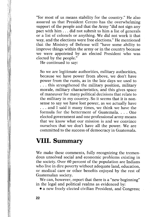"for most of us means stability for the country." He also assured us that President Cerezo has the overwhelming support of the people and that the Army "did not sign any pact with him . . . did not submit to him a list of generals or a list of colonels or anything. We did not work it that way, and the elections were free elections." He mentioned that the Ministry of Defense will "have some ability to improve things within the army or in the country because we were appointed by an elected President who was elected by the people."

He continued to say:

So we are legitimate authorities, military authorities, because we have power from above, we don't have power from the runts, as in the late days we used to . . . this strengthened the military position, military morale, military characteristics, and this gives space of maneuver for many political decisions that relate to the military in my country. So it seems that it is non sense to say we have lost power, as we actually have . . . and I said it many times, we think we have the formula for the betterment of Guatemala. . . . One elected government and one professional army means that we know what our mission is and we convince ourselves that we don't have all the power. We are committed to the success of democracy in Guatemala.

#### **VIII. Summary**

We make these comments, fully recognizing the tremendous unsolved social and economic problems existing in the society. Over 60 percent of the population are Indians who live in dire poverty without adequate land, education, or medical care or other benefits enjoyed by the rest of Guatemalan society.<br>We can, however, report that there is a "new beginning"

in the legal and political realms as evidenced by:

• a new freely elected civilian President, and Congress;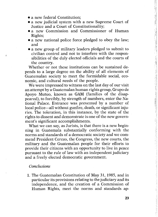- a new federal Constitution:
- a new judicial system with a new Supreme Court of Justice and a Court of Constitutionality;
- a new Commission and Commissioner of Human Rights;<br>• a new national police force pledged to obey the law;
- and<br>• a new group of military leaders pledged to submit to
- civilian control and not to interfere with the respon sibilities of the duly elected officials and the courts of the country. Whether or not these institutions can be sustained de-

pends to a large degree on the ability of all elements of Guatemalan society to meet the formidable social, eco-<br>nomic, and cultural needs of the people.

We were impressed to witness on the last day of our visit<br>an attempt by a Guatemalan human rights group, Grupo de<br>Apoyo Mutuo, known as GAM (families of the disap-<br>peared), to forcibly, by strength of numbers, enter the Na local police—all without gunfire, death, or significant inju-<br>ries. The toleration, in this instance, by the state of the<br>rights to dissent and demonstrate is one of the new govern-

ment's significant accomplishments.<br>What we can say, as Jurists, is that there is a new beginning in Guatemala substantially conforming with the norms and standards of a democratic society and we commend President Cerezo, the Congress, the new courts, the military and the Guatemalan people for their efforts to provide their citizens with an opportunity to live in peace pursuant to the rule of law with an independent judiciary and a freely elected democratic government.

#### *Conclusions*

1. The Guatemalan Constitution of May 31, 1985, and in particular its provisions relating to the judiciary and its independence, and the creation of a Commission of Human Rights, meet the norms and standards ap<u>standard in the standard standard standard in the standard standard standard standard standard standard standard standard standard standard standard standard standard standard standard standard standard standard standard </u>

计传输 计计算 经工业工业 计分类 医腹股沟 化硫酸铅 计分析法 法不可能的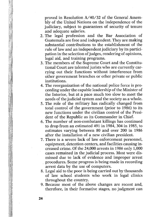proved in Resolution  $A/40/32$  of the General Assembly of the United Nations on the independence of the judiciary, subject to guarantees of security of tenure and adequate salaries.

- 2. The legal profession and the Bar Association of Guatemala are free and independent. They are making substantial contributions to the establishment of the rule of law and an independent judiciary by its participation in the selection of judges, rendering of opinions,<br>legal aid, and training programs.<br>3. The members of the Supreme Court and the Constitu-
- tional Court are talented jurists who are currently carrying out their functions without interference from other government branches or other private or public
- institutions.<br>4. The reorganization of the national police force is proceeding under the capable leadership of the Minister of<br>the Interior, but at a pace much too slow to meet the<br>needs of the judicial system and the soci
- 5. The role of the military has radically changed from<br>total control of the government (prior to 1986) to its<br>new functions under the civilian control of the Presi-<br>dent of the Republic as its Commander in Chief.
- 6. The number of non-combatant killings has continued to drop from an estimated 491 in 1984, 304 in 1985, to estimates varying between 80 and over 200 in 1986 after the installation of a new civilian president.
- 7. There is a severe lack of law enforcement personnel, equipment, detention centers, and facilities causing in creased crime. Of the 24,000 arrests in 1986 only 1,000 cases remained in the judicial process. Most were dismissed due to lack of evidence and improper arrest procedures. Some progress is being made in recording
- 8. Legal aid to the poor is being carried out by thousands of law school students who work in legal clinics
- throughout the country. 9. Because most of the above changes are recent and, therefore, in their formative stages, no judgment can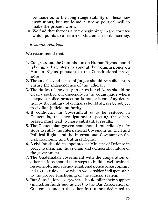be made as to the long range stability of these new institutions, but we found a strong political will to make the process work.

10. We find that there is a "new beginning" in the country which points to a return of Guatemala to democracy.

#### *Recommendations*

We recommend that:

- 1. Congress and the Commission on Human Rights should take immediate steps to appoint the Commissioner on Human Rights pursuant to the Constitutional provisions.
- 2. The salaries and terms of judges should be sufficient to ensure the independence of the judiciary.
- 3. The duties of the army in arresting citizens should be clearly spelled out especially in the countryside where adequate police protection is non-existent. Any detention by the military of civilians should always be subject to civilian judicial authority.
- 4. If confidence in Government is to be restored in Guatemala, the investigations respecting the disap-<br>peared must lead to more substantial results.
- 5. The Guatemalan government should immediately take steps to ratify the International Covenants on Civil and Political Rights and the International Covenant on So cial, Economic and Cultural Rights.
- 6. A civilian should be appointed as Minister of Defense in order to maintain the civilian and democratic nature of the government.<br>7. The Guatemalan government with the cooperation of other nations should take steps to bu
- responsible, and adequate national police force commit-<br>ted to the rule of law which we consider indispensable<br>to the proper functioning of the judicial system.<br>8. Bar Associations everywhere should offer their support<br>(in
- Guatemala and to the other institutions dedicated to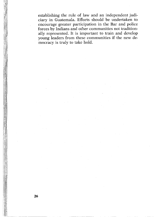establishing the rule of law and an independent judiciary in Guatemala. Efforts should be undertaken to encourage greater participation in the Bar and police forces by Indians and other communities not traditionally represented. It is important to train and develop young leaders from these communities if the new democracy is truly to take hold.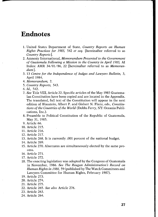#### **Endnotes**

- **1. United States Department of State,** *Country Reports on Human Rights Practices for 1985,* **542** *et seq.* **[hereinafter referred to as** *Country Reports***].**
- **2. Amnesty International,** *Memorandum Presented to the Government of Guatemala Following a Mission to the Country in April 1985,* **AI Index: AMR 34/01/86, 22 [hereinafter referred to as** *Memorandum ].*
- **3.13** *Centre for the Independence of Judges and Lawyers Bulletin,* **3, April 1984.**
- **4.** *Memorandum, 2.*
- **5.** *Country Reports,* **543.**
- **6.** *Id.,* **542.**
- **7.** *See* **Title VIII, Article 22. Specific articles of the May 1985 Guatemalan Constitution have been copied and are located in the Appendix. The translated, full text of the Constitution will appear in the next edition of Blaustein, Albert P. and Gisbert N. Flanz, eds.,** *Constitutions of the Countries of the World* **(Dobbs Ferry, NY: Oceania Publications, Inc.).**
- **8. Preamble to Political Constitution of the Republic of Guatemala, May 31, 1985.**
- **9. Article 66.**
- **10. Article 215.**
- **11. Article 216.**
- **12. Article 217.**
- **13. Article 268. It is currently .001 percent of the national budget.**
- **14. Article 269.**
- **15. Article 270. Alternates are simultaneously elected by the same process.**
- **16. Article 271.**
- **17. Article 272.**
- **18. The enacting legislation was adopted by the Congress of Guatemala in November, 1986.** *See The Reagan Administration's Record on Human Rights in 1986,* **59 (published by The Watch Committees and Lawyers Committee for Human Rights, February 1987).**

- **20. Article 274.**
- **21. Article 275.**
- **22. Article 265.** *See also* **Article 276.**
- **23. Article 263.**
- **24. Article 264.**

**<sup>19.</sup> Article 273.**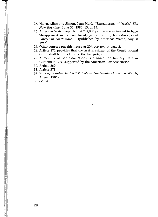**25. Nairn, Allan and Simon, Jean-Marie, "Bureaucracy of Death,"** *The New Republic,* **June 30, 1986, 13, at 14.**

7

- **26. Americas Watch reports that "38,000 people are estimated to have 'disappeared' in the past twenty years." Simon, Jean-Marie,** *Civil Patrols in Guatemala,* **3 (published by Americas Watch, August 1986).**
- **27. Other sources put this figure at 204,** *see* **text at page 2.**
- **28. Article 271 provides that the first President of the Constitutional Court shall be the eldest of the five judges.**
- **29. A meeting of bar associations is planned for January 1987 in Guatemala City, supported by the American Bar Association.**
- **30. Article 269.**
- **31. Article 273.**
- **32. Simon, Jean-Marie,** *Civil Patrols in Guatemala* **(Americas Watch, August 1986).**
- **33.** *See id.*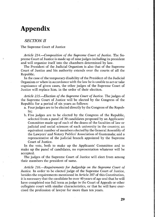#### **Appendix**

#### *SECTION II*

#### **The Supreme Court of Justice**

*Article 214.—Composition of the Supreme Court of Justice.* **The Supreme Court of Justice is made up of nine judges including its president and will organize itself into the chambers determined by law.**

**The President of the Judicial Organism is also that of the Supreme Court of Justice and his authority extends over the courts of all the Republic.**

**In the case of the temporary disability of the President of the Judicial Organism or when in accordance with the law he is unable to act or take cognizance of given cases, the other judges of the Supreme Court of Justice will replace him, in the order of their election.**

*Article 215.—Election of the Supreme Court of Justice.* **The judges of the Supreme Court of Justice will be elected by the Congress of the Republic for a period of six years as follows:**

- **a. Four judges are to be elected directly by the Congress of the Republic;**
- **b. Five judges are to be elected by the Congress of the Republic, selected from a panel of 30 candidates proposed by an Applicants' Committee made up of each of the deans of the faculties of law or judicial and social sciences of each university in the country; an equivalent number of members elected by the General Assembly of the Lawyers' and Notary Publics' Association of Guatemala; and a representative of the judicial branch appointed by the Supreme Court of Justice.**

**In the vote, both to make up the Applicants' Committee and to make up the panel of candidates, no representation whatever will be accepted.**

**The judges of the Supreme Court of Justice will elect from among their members the president of same.**

*Article 216.—Requirements for Judgeship on the Supreme Court of Justice.* **In order to be elected judge of the Supreme Court of Justice, besides the requirements mentioned in Article 207 of this Constitution, it is necessary that the candidate be over 40 years of age and that he will have completed one full term as judge in the Court of Appeals or other collegiate court with similar characteristics, or that he will have exercised the profession of lawyer for more than ten years.**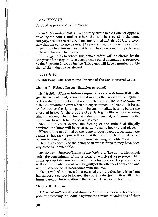#### *SECTION III*

#### **Court of Appeals and Other Courts**

*Article 21***7.—***Magistrates.* **To be a magistrate in the Court of Appeals, of collegiate courts, and of others that will be created in the same category, besides the requirements mentioned in Article 207, it is necessary that the candidate be over 35 years of age, that he will have been judge of the first instance or that he will have exercised the profession of lawyer for over five years.**

**The magistrates to whom this article refers will be elected by the Congress of the Republic, selected from a panel of candidates proposed by the Supreme Court of Justice. This panel will have a number double that of the judges to be elected.**

#### *TITLE VI*

**Constitutional Guarantees and Defense of the Constitutional Order**

#### **Chapter I Habeas Corpus (Exhicion personal)**

*Article 263.—Right to Habeas Corpus.* **Whoever finds himself illegally imprisoned, detained, or restrained in any other way in the enjoyment of his individual freedom, who is threatened with the loss of same, or suffers ill-treatment, even when his imprisonment or detention is based on the law, has the right to petition for an immediate hearing before the courts of justice for the purpose of retrieving his liberty, guaranteeing him his release, bringing his ill-treatment to an end, or terminating the constraint to which he has been subjected.**

**Should the court decree the freeing of the individual illegally confined, the latter will be released at the same hearing and place.**

**When it is so petitioned or the judge or court deems it pertinent, the requested habeas corpus will occur at the location where the detained person is being held, without previous warning or notification.**

**The habeas corpus of the detainee in whose favor it may have been requested is unavoidable.**

*Article 264.—Responsibilities of the Violators.* **The authorities which order the concealment of the prisoner or which refuse to present him at the appropriate court or which in any form evade this guarantee as well as the executive agents will be guilty of the offense of abduction and will be sanctioned in accordance with the law.**

**If as a result of the proceedings pursued the individual benefiting from habeas corpus cannot be located, the court having jurisdiction will order immediately an investigation of the case until it is totally cleared up.**

#### **Chapter II Amparo**

*Article 265.—Proceeding of Amparo.* **Amparo is instituted for the purpose of protecting individuals against the threats of violations of their**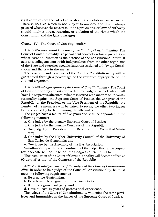**rights or to restore the rule of same should the violation have occurred.** There is no area which is not subject to amparo, and it will always **proceed whenever the acts, resolutions, provisions, or laws of authority should imply a threat, restraint, or violation of the rights which the Constitution and the laws guarantee.**

#### **Chapter IV The Court of Constitutionality**

*Article 268.—Essential Function of the Court of Constitutionality.* **The Court of Constitutionality is a permanent court of exclusive jurisdiction whose essential function is the defense of the constitutional order. It acts as a collegiate court with independence from the other organisms of the State and exercises specific functions assigned to it by the Constitution and the law in the matter.**

**The economic independence of the Court of Constitutionality will be guaranteed through a percentage of the revenues appropriate to the Judicial Organism.**

*Article 269.—Organization of the Court of Constitutionality.* **The Court of Constitutionality consists of five tenured judges, each of whom will have his respective alternate. When it is seized with matters of unconstitutionality against the Supreme Court of Justice, the Congress of the Republic, or the President or the Vice President of the Republic, the number of its members will be raised to seven, the other two judges being selected by lot from among the alternates.**

**The judges have a tenure of five years and shall be appointed in the following manner:**

- **a. One judge by the plenary Supreme Court of Justice;**
- **b. One judge by the plenary Congress of the Republic;**
- **c. One judge by the President of the Republic in the Council of Ministers;**
- **d. One judge by the Higher University Council of the University of San Carlos de Guatemala; and**
- **e. One judge by the Assembly of the Bar Association.**

**Simultaneously with the appointment of the judge, that of the respective alternate will occur before the Congress of the Republic.**

**The installation of the Court of Constitutionality will become effective 90 days after that of the Congress of the Republic.**

*Article 270.—Requirements of the Judges of the Court of Constitutionality.* **In order to be a judge of the Court of Constitutionality, he must meet the following requirements:**

**a. Be a native Guatemalan;**

**b. Be a lawyer belonging to the Bar Association;**

**c. Be of recognized integrity; and**

**d. Have at least 15 years of professional experience.**

**The judges of the Court of Constitutionality will enjoy the same privileges and immunities as the judges of the Supreme Court of Justice.**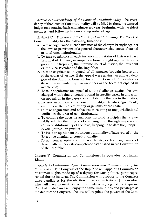*Article 271.—Presidency of the Court of Constitutionality.* **The Presidency of the Court of Constitutionality will be filled by the same tenured judges on a rotating basis changing every year, beginning with the eldest member, and following in descending order of age.**

*Article 272.—Functions of the Court of Constitutionality.* **The Court of Constitutionality has the following functions:**

- **a. To take cognizance in each instance of the charges brought against the laws or provisions of a general character, challenges of partial or total unconstitutionality;**
- **b. To take cognizance in each instance in its status of Extraordinary Tribunal of Amparo, in amparo actions brought against the Congress of the Republic, the Supreme Court of Justice, the President or the Vice President of the Republic;**
- **c. To take cognizance on appeal of all amparos brought before any of the courts of justice. If the appeal were against an amparo decision of the Supreme Court of Justice, the Court of Constitutionality will be expanded by two members in the form anticipated in Article 268;**
- **d. To take cognizance on appeal of all the challenges against the laws charged with being unconstitutional in specific cases, in any trial, on appeal, or in the cases contemplated by the law in the matter;**
- **e. To issue an opinion on the constitutionality of treaties, agreements, and bills at the request of any organisms of the State;**
- **f. To take cognizance and solve issues relating to any jurisdictional conflict in the area of constitutionality;**
- **g. To compile the doctrine and constitutional principles that are established with the purpose of resolving them through amparo and of unconstitutionality of the laws, keeping up to date the'jurisprudential journal or gazette;**
- **h. To issue an opinion on the unconstitutionality of laws vetoed by the Executive alleging unconstitutionality;**
- **i. To act, render opinions (opinar), dictate, or take cognizance of those matters under its competence established in the Constitution of the Republic.**

**Chapter V Commission and Commissioner [Procurador] of Human Rights**

*Article 273.—Human Rights Commission and Commissioner of the Commission.* **The Congress of the Republic will appoint a Commission of Human Rights made up of a deputy for each political party represented during its term. The Commission will propose to the Congress three candidates for the election of an Commissioner [Procurador] who will have to meet the requirements of a judge of the Supreme Court of Justice and will enjoy the same immunities and privileges as the deputies to Congress. The law will regulate the powers of the Com-**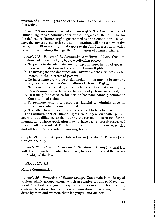**mission of Human Rights and of the Commissioner as they pertain to this article.**

*Article 274.—Commissioner of Human Rights.* **The Commissioner of Human Rights is a commissioner of the Congress of the Republic for the defense of Human Rights guaranteed by the Constitution. He will have the powers to supervise the administration, will have a term of five years, and will make an annual report to the full Congress with which he will have dealings through the Commission of Human Rights.**

*Article 275.—Powers of the Commissioner of Human Rights.* **The Commissioner of Human Rights has the following powers:**

- **a. To promote the adequate functioning and speeding up of government administration in the area of Human Rights;**
- **b. To investigate and denounce administrative behavior that is detrimental to the interests of persons;**
- **c. To investigate every type of denunciation that may be brought by any person regarding the violations of Human Rights;**
- **d. To recommend privately or publicly to officials that they modify their administrative behavior to which objections are raised;**
- **e. To issue public censure for acts or behavior running counter to Constitutional rights;**
- **f. To promote actions or resources, judicial or administrative, in those cases which demand it; and**
- **g. The other functions and powers assigned to him by law.**

**The Commissioner of Human Rights, routinely or on challenge, will act with due diligence so that, during the regime of exception, fundamental rights whose application may not have been expressly restrained may be fully guaranteed. For the fulfillment of his functions, every day and all hours are considered working hours.**

Chapter VI Law of Amparo, Habeas Corpus [Exhibición Personal] and **Constitutionality**

*Article 276.—Constitutional Law in the Matter.* **A constitutional law will develop matters relative to amparo, habeas corpus, and the constitutionality of the laws.**

#### *SECTION III*

**Native Communities**

*Article 66.—Protection of Ethnic Groups.* **Guatemala is made up of various ethnic groups among which are native groups of Mayan descent. The State recognizes, respects, and promotes its form of life, customs, traditions, forms of social organization, the wearing of Indian dress by men and women, their languages, and dialects.**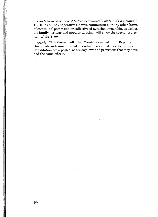*Article 67.—Protection of Native Agricultural Lands and Cooperatives.* **The lands of the cooperatives, native communities, or any other forms of communal possession or collective of agrarian ownership, as well as the family heritage and popular housing, will enjoy the special protection of the State.**

*Article 22.***—***Repeal.* **All the Constitutions of the Republic of Guatemala and constitutional amendments decreed prior to the present Constitution are repealed, as are any laws and provisions that may have had the same effects.**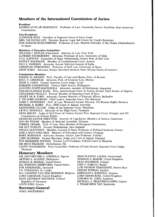#### **Members of the International Commission of Jurists**

**President**<br>ANDRES AGUILAR MAWDSLEY Professor of Law, Venezuela; former President, Inter-American Commission

**Vice-Presidents**<br>ALPHONSE BONI President of Supreme Court of Ivory Coast MRS. TAI-YOUNG LEE Director, Korean Legal Aid Centre for Family Relations<br>DON JOAQUIN RUIZ-GIMENEZ Professor of Law, Madrid; Defender of the People (Ombudsman)<br>of Spain MRS. TAI-YOUNG LEE Director, Korean Legal Aid Centre for Family Relations

<mark>Members of Executive Committee</mark><br>WILLIAM J. BUTLER (Chairman) Attorney at Law, New York ALFREDO ETCHEBERRY Advocate; Professor of Law, University of Chile<br>P.J.G. KAPTEYN Councillor of State, Netherlands; former Prof. of Int'l Law<br>RUDOLF MACHACEK Member of Constitutional Court, Austria<br>RALI S. NARIMAN Advocate ALFREDO ETCHEBERRY Advocate; Professor of Law, University of Chile<br>P.J.G. KAPTEYN Councillor of State, Netherlands; former Prof. of Int'l Law<br>RUDOLF MACHACEK Member of Constitutional Court, Austria FALI S. NARIMAN Advocate, former Solicitor-General of India CHRISTIAN TOMUSCHAT Professor of Int'l Law, University of Bonn

PHI Prof., Faculty of Law and Sharia, Univ. of Kuwait AS Advocate; Prof. of Criminal Law, Mexico Former Supreme Court Judge, Israel<br>Former Supreme Court Judge, Israel<br>FOION Former Chief Justice, Philippines CDONELL Advocate; member of Parliament, Argentina<br>CDONELL Advocate; member of Parliament, Argentina<br>CLAS Pres., International Court of Justice; former Chief Justice of Nigeria<br>O Former Member of Supreme Court of Peru<br>Advoc KEBA MBAYE Judge of Int'l Court of Justice; former Pres. Supreme Court, Senegal, and UN Commission on Human Rights FRANCOIS-XAVIER MBOUYOM Director of Legislation, Ministry of Justice, Cameroon NGO BA THANH Member of National Assembly, Vietnam<br>TORKEL OPSAHL Prof. of Law, Oslo; Member of European Commission<br>SIR GUY POWLES Former Ombudsman, New Zealand MICOLE QUESTIAUX Member, Council of State, Professor of Political Sciences, France<br>ADELA RETA SOSA DIAZ Minister of Education and Culture, Uruguay<br>MARY ROBINSON Advocate, Senator, former Law Professor, Ireland<br>LORD SCARMAN FORM ER BARRIST MANAL ERGIST AND HORD SCARNAN FORM ERGIST AND SCARNAN FORM FORM LORD SCARNAN FORM THE TREST THAN FORM THE TREST THAN THE TREST THE NORM FORM THE TREST THE NORM COUNCILLOR STAR MONORMAN, FORM COUNCILLOR COUN **Commission Members**<br>BADRIA AL-AWADHI Prof., Faculty of Law and Sharia, Univ. of Kuwait RAUL F. CARDENAS Advocate; Prof. of Criminal Law, Mexico HAIM H. COHN Former Supren<br>ROBERTO CONCEPCION Forme<br>AUGUSTO CONTE-MACDONELL TASLIM OLAWALE ELIAS<br>GUILLERMO FIGALLO F<br>HENRY DE B. FORD Adv<br>P. TELFORD GEORGES C P. TELFORD GEORGES Chief Justice, Supreme Court, The Bahamas<br>JOHN P. HUMPHREY Prof. of Law, Montreal; former Director, UN Human Rights Division<br>MICHAEL D. KIRBY Pres., NSW Court of Appeal, Australia<br>RAJSOOMER LALLAH Judge NGO BA THANH Member of National Assembly, Vietnam SIR MOTI TIKARAM Ombudsman, Fiji Thailand<br>**Honorary Members** SIR ADETOKUNBO A. ADEMOLA, Nigeria JEAN FLAVIEN LALIVE, Switzerland

ARTURO A. ALAFRIZ, Philippines<br>DUDLEY B. BONSAL, United States<br>ELI WHITNEY DEBEVOISE, United States<br>PER FEDERSPIEL, Denmark T.S. FERNANDO, Sri Lanka<br>W.J. GANSHOF VAN DER MEERSCH, Belgium<br>LORD GARDINER. United Kingdom HANS HEINRICH JESCHECK, Federal<br>Republic of Germany<br>LOUIS JOXE, France

#### LOUIS JOXE, France **Secretary-General**

NIALL MACDERMOT

NORMAN S. MARSH, United Kingdom SEAN MACBRIDE, Ireland JOSE T. NABUCO, Brazil LUIS NEGRON FERNANDEZ, Puerto Rico GUSTAF PETREN, Sweden LORD SHAWCROSS, United Kingdom<br>EDWARD ST. JOHN, Australia MICHAEL A. TRIANTAFYLLIDES, Cyprus J. THIAM HIEN YAP, Indonesia